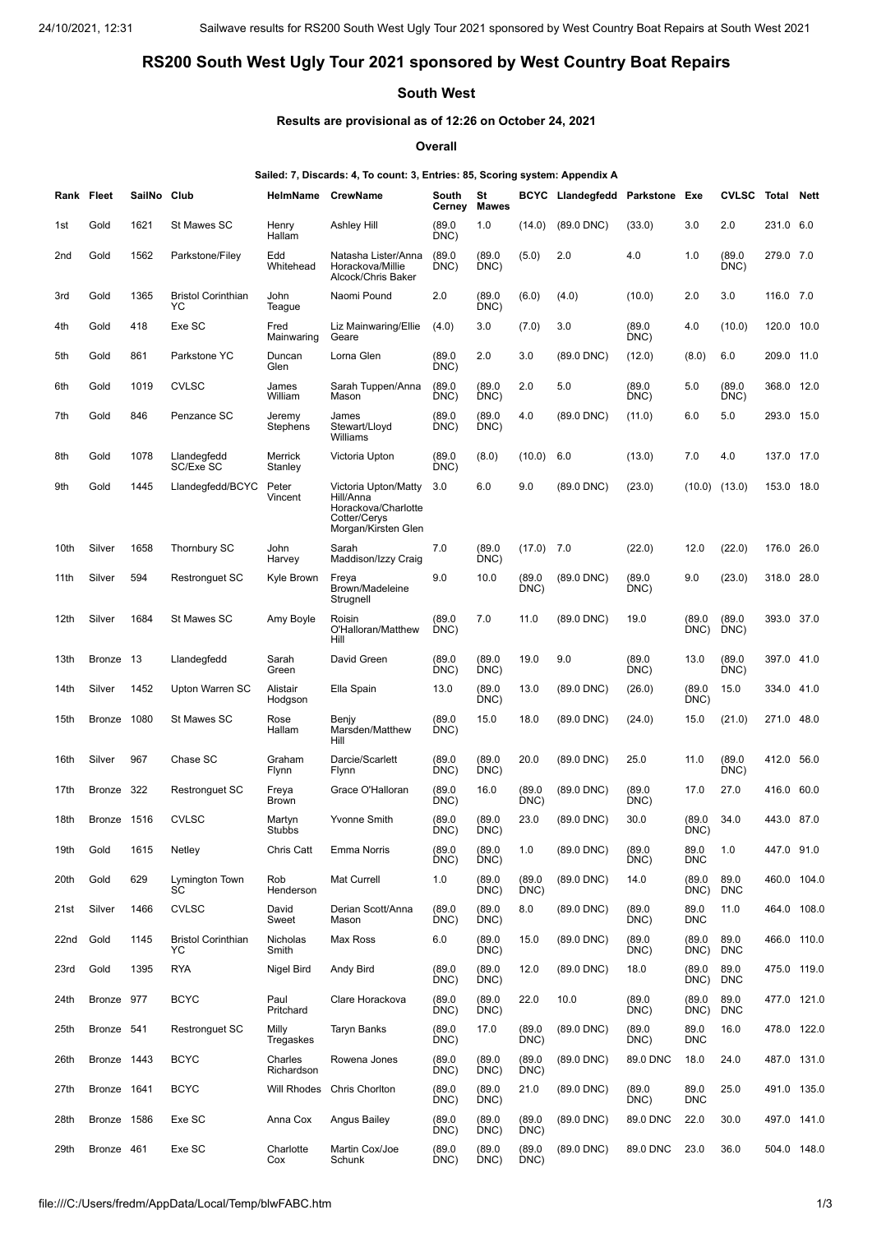## **RS200 South West Ugly Tour 2021 sponsored by West Country Boat Repairs**

## **South West**

## **Results are provisional as of 12:26 on October 24, 2021**

**Overall**

## **Sailed: 7, Discards: 4, To count: 3, Entries: 85, Scoring system: Appendix A**

| Rank Fleet |             | SailNo Club |                                 | HelmName               | <b>CrewName</b>                                                                                 | South<br>Cerney | St<br>Mawes    | <b>BCYC</b>    | Llandegfedd Parkstone |                | Exe                | <b>CVLSC</b>       | Total Nett  |      |
|------------|-------------|-------------|---------------------------------|------------------------|-------------------------------------------------------------------------------------------------|-----------------|----------------|----------------|-----------------------|----------------|--------------------|--------------------|-------------|------|
| 1st        | Gold        | 1621        | St Mawes SC                     | Henry<br>Hallam        | Ashley Hill                                                                                     | (89.0)<br>DNC)  | 1.0            | (14.0)         | (89.0 DNC)            | (33.0)         | 3.0                | 2.0                | 231.0 6.0   |      |
| 2nd        | Gold        | 1562        | Parkstone/Filey                 | Edd<br>Whitehead       | Natasha Lister/Anna<br>Horackova/Millie<br>Alcock/Chris Baker                                   | (89.0)<br>DNC)  | (89.0)<br>DNC) | (5.0)          | 2.0                   | 4.0            | 1.0                | (89.0)<br>DNC)     | 279.0 7.0   |      |
| 3rd        | Gold        | 1365        | <b>Bristol Corinthian</b><br>YC | John<br>Teague         | Naomi Pound                                                                                     | 2.0             | (89.0)<br>DNC) | (6.0)          | (4.0)                 | (10.0)         | 2.0                | 3.0                | 116.0 7.0   |      |
| 4th        | Gold        | 418         | Exe SC                          | Fred<br>Mainwaring     | Liz Mainwaring/Ellie<br>Geare                                                                   | (4.0)           | 3.0            | (7.0)          | 3.0                   | (89.0)<br>DNC) | 4.0                | (10.0)             | 120.0 10.0  |      |
| 5th        | Gold        | 861         | Parkstone YC                    | Duncan<br>Glen         | Lorna Glen                                                                                      | (89.0)<br>DNC)  | 2.0            | 3.0            | $(89.0$ DNC $)$       | (12.0)         | (8.0)              | 6.0                | 209.0       | 11.0 |
| 6th        | Gold        | 1019        | <b>CVLSC</b>                    | James<br>William       | Sarah Tuppen/Anna<br>Mason                                                                      | (89.0)<br>DNC)  | (89.0)<br>DNC) | 2.0            | 5.0                   | (89.0)<br>DNC) | 5.0                | (89.0)<br>DNC)     | 368.0       | 12.0 |
| 7th        | Gold        | 846         | Penzance SC                     | Jeremy<br>Stephens     | James<br>Stewart/Lloyd<br>Williams                                                              | (89.0)<br>DNC)  | (89.0)<br>DNC) | 4.0            | (89.0 DNC)            | (11.0)         | 6.0                | 5.0                | 293.0 15.0  |      |
| 8th        | Gold        | 1078        | Llandegfedd<br>SC/Exe SC        | Merrick<br>Stanley     | Victoria Upton                                                                                  | (89.0)<br>DNC)  | (8.0)          | (10.0)         | 6.0                   | (13.0)         | 7.0                | 4.0                | 137.0       | 17.0 |
| 9th        | Gold        | 1445        | Llandegfedd/BCYC                | Peter<br>Vincent       | Victoria Upton/Matty<br>Hill/Anna<br>Horackova/Charlotte<br>Cotter/Cerys<br>Morgan/Kirsten Glen | 3.0             | 6.0            | 9.0            | (89.0 DNC)            | (23.0)         | (10.0)             | (13.0)             | 153.0 18.0  |      |
| 10th       | Silver      | 1658        | Thornbury SC                    | John<br>Harvey         | Sarah<br>Maddison/Izzy Craig                                                                    | 7.0             | (89.0)<br>DNC) | (17.0)         | 7.0                   | (22.0)         | 12.0               | (22.0)             | 176.0       | 26.0 |
| 11th       | Silver      | 594         | <b>Restronguet SC</b>           | Kyle Brown             | Freya<br>Brown/Madeleine<br>Strugnell                                                           | 9.0             | 10.0           | (89.0)<br>DNC) | (89.0 DNC)            | (89.0)<br>DNC) | 9.0                | (23.0)             | 318.0 28.0  |      |
| 12th       | Silver      | 1684        | St Mawes SC                     | Amy Boyle              | Roisin<br>O'Halloran/Matthew<br>Hill                                                            | (89.0)<br>DNC)  | 7.0            | 11.0           | (89.0 DNC)            | 19.0           | (89.0)<br>DNC)     | (89.0)<br>DNC)     | 393.0 37.0  |      |
| 13th       | Bronze 13   |             | Llandegfedd                     | Sarah<br>Green         | David Green                                                                                     | (89.0)<br>DNC)  | (89.0)<br>DNC) | 19.0           | 9.0                   | (89.0)<br>DNC) | 13.0               | (89.0)<br>DNC)     | 397.0 41.0  |      |
| 14th       | Silver      | 1452        | Upton Warren SC                 | Alistair<br>Hodgson    | Ella Spain                                                                                      | 13.0            | (89.0)<br>DNC) | 13.0           | (89.0 DNC)            | (26.0)         | (89.0)<br>DNC)     | 15.0               | 334.0 41.0  |      |
| 15th       | Bronze      | 1080        | St Mawes SC                     | Rose<br>Hallam         | Benjy<br>Marsden/Matthew<br>Hill                                                                | (89.0)<br>DNC)  | 15.0           | 18.0           | $(89.0$ DNC $)$       | (24.0)         | 15.0               | (21.0)             | 271.0       | 48.0 |
| 16th       | Silver      | 967         | Chase SC                        | Graham<br><b>Flynn</b> | Darcie/Scarlett<br>Flynn                                                                        | (89.0)<br>DNC)  | (89.0)<br>DNC) | 20.0           | $(89.0$ DNC $)$       | 25.0           | 11.0               | (89.0)<br>DNC)     | 412.0       | 56.0 |
| 17th       | Bronze      | 322         | <b>Restronguet SC</b>           | Freya<br>Brown         | Grace O'Halloran                                                                                | (89.0)<br>DNC)  | 16.0           | (89.0)<br>DNC) | (89.0 DNC)            | (89.0)<br>DNC) | 17.0               | 27.0               | 416.0       | 60.0 |
| 18th       | Bronze 1516 |             | <b>CVLSC</b>                    | Martyn<br>Stubbs       | <b>Yvonne Smith</b>                                                                             | (89.0)<br>DNC)  | (89.0)<br>DNC) | 23.0           | (89.0 DNC)            | 30.0           | (89.0)<br>DNC)     | 34.0               | 443.0 87.0  |      |
| 19th       | Gold        | 1615        | Netley                          | Chris Catt             | Emma Norris                                                                                     | (89.0)<br>DNC)  | (89.0)<br>DNC) | 1.0            | (89.0 DNC)            | (89.0)<br>DNC) | 89.0<br><b>DNC</b> | 1.0                | 447.0 91.0  |      |
| 20th       | Gold        | 629         | Lymington Town<br>SC            | Rob<br>Henderson       | Mat Currell                                                                                     | 1.0             | (89.0)<br>DNC) | (89.0)<br>DNC) | (89.0 DNC)            | 14.0           | (89.0)<br>DNC)     | 89.0<br><b>DNC</b> | 460.0 104.0 |      |
| 21st       | Silver      | 1466        | <b>CVLSC</b>                    | David<br>Sweet         | Derian Scott/Anna<br>Mason                                                                      | (89.0)<br>DNC)  | (89.0)<br>DNC) | 8.0            | (89.0 DNC)            | (89.0)<br>DNC) | 89.0<br><b>DNC</b> | 11.0               | 464.0 108.0 |      |
| 22nd       | Gold        | 1145        | <b>Bristol Corinthian</b><br>YC | Nicholas<br>Smith      | Max Ross                                                                                        | 6.0             | (89.0)<br>DNC) | 15.0           | (89.0 DNC)            | (89.0)<br>DNC) | (89.0)<br>DNC)     | 89.0<br><b>DNC</b> | 466.0 110.0 |      |
| 23rd       | Gold        | 1395        | <b>RYA</b>                      | Nigel Bird             | Andy Bird                                                                                       | (89.0)<br>DNC)  | (89.0)<br>DNC) | 12.0           | (89.0 DNC)            | 18.0           | (89.0)<br>DNC)     | 89.0<br><b>DNC</b> | 475.0 119.0 |      |
| 24th       | Bronze 977  |             | <b>BCYC</b>                     | Paul<br>Pritchard      | Clare Horackova                                                                                 | (89.0)<br>DNC)  | (89.0)<br>DNC) | 22.0           | 10.0                  | (89.0)<br>DNC) | (89.0)<br>DNC)     | 89.0<br><b>DNC</b> | 477.0 121.0 |      |
| 25th       | Bronze 541  |             | <b>Restronquet SC</b>           | Milly<br>Tregaskes     | <b>Taryn Banks</b>                                                                              | (89.0)<br>DNC)  | 17.0           | (89.0)<br>DNC) | (89.0 DNC)            | (89.0)<br>DNC) | 89.0<br><b>DNC</b> | 16.0               | 478.0 122.0 |      |
| 26th       | Bronze 1443 |             | <b>BCYC</b>                     | Charles<br>Richardson  | Rowena Jones                                                                                    | (89.0)<br>DNC)  | (89.0)<br>DNC) | (89.0)<br>DNC) | (89.0 DNC)            | 89.0 DNC       | 18.0               | 24.0               | 487.0 131.0 |      |
| 27th       | Bronze 1641 |             | <b>BCYC</b>                     | Will Rhodes            | Chris Chorlton                                                                                  | (89.0)<br>DNC)  | (89.0)<br>DNC) | 21.0           | (89.0 DNC)            | (89.0)<br>DNC) | 89.0<br><b>DNC</b> | 25.0               | 491.0 135.0 |      |
| 28th       | Bronze 1586 |             | Exe SC                          | Anna Cox               | Angus Bailey                                                                                    | (89.0)<br>DNC)  | (89.0)<br>DNC) | (89.0)<br>DNC) | (89.0 DNC)            | 89.0 DNC       | 22.0               | 30.0               | 497.0 141.0 |      |
| 29th       | Bronze 461  |             | Exe SC                          | Charlotte<br>Cox       | Martin Cox/Joe<br>Schunk                                                                        | (89.0)<br>DNC)  | (89.0)<br>DNC) | (89.0)<br>DNC) | $(89.0$ DNC $)$       | 89.0 DNC       | 23.0               | 36.0               | 504.0 148.0 |      |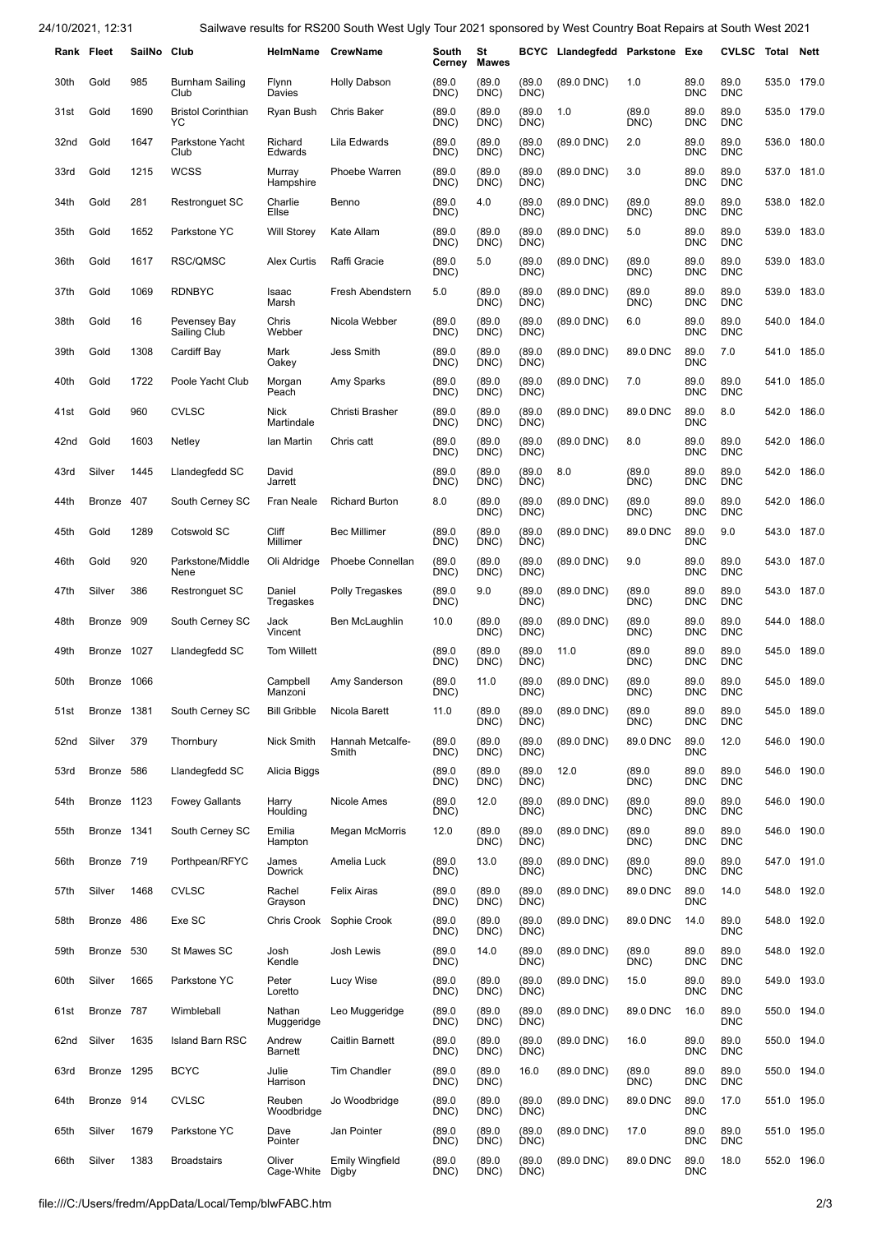24/10/2021, 12:31 Sailwave results for RS200 South West Ugly Tour 2021 sponsored by West Country Boat Repairs at South West 2021

|      | Rank Fleet    | SailNo Club |                                 | HelmName CrewName      |                                 | South<br>Cerney | St<br><b>Mawes</b> | BCYC           | Llandegfedd Parkstone Exe |                |                    | <b>CVLSC</b>       | Total       | Nett        |
|------|---------------|-------------|---------------------------------|------------------------|---------------------------------|-----------------|--------------------|----------------|---------------------------|----------------|--------------------|--------------------|-------------|-------------|
| 30th | Gold          | 985         | <b>Burnham Sailing</b><br>Club  | <b>Flynn</b><br>Davies | <b>Holly Dabson</b>             | (89.0)<br>DNC)  | (89.0)<br>DNC)     | (89.0)<br>DNC) | (89.0 DNC)                | 1.0            | 89.0<br><b>DNC</b> | 89.0<br><b>DNC</b> | 535.0       | 179.0       |
| 31st | Gold          | 1690        | <b>Bristol Corinthian</b><br>YC | Ryan Bush              | <b>Chris Baker</b>              | (89.0)<br>DNC)  | (89.0)<br>DNC)     | (89.0)<br>DNC) | 1.0                       | (89.0)<br>DNC) | 89.0<br><b>DNC</b> | 89.0<br><b>DNC</b> |             | 535.0 179.0 |
| 32nd | Gold          | 1647        | Parkstone Yacht<br>Club         | Richard<br>Edwards     | Lila Edwards                    | (89.0)<br>DNC)  | (89.0<br>DNC)      | (89.0)<br>DNC) | $(89.0$ DNC)              | 2.0            | 89.0<br><b>DNC</b> | 89.0<br><b>DNC</b> |             | 536.0 180.0 |
| 33rd | Gold          | 1215        | <b>WCSS</b>                     | Murray<br>Hampshire    | Phoebe Warren                   | (89.0)<br>DNC)  | (89.0)<br>DNC)     | (89.0)<br>DNC) | $(89.0$ DNC $)$           | 3.0            | 89.0<br><b>DNC</b> | 89.0<br><b>DNC</b> | 537.0       | 181.0       |
| 34th | Gold          | 281         | <b>Restronguet SC</b>           | Charlie<br>Ellse       | Benno                           | (89.0)<br>DNC)  | 4.0                | (89.0)<br>DNC) | (89.0 DNC)                | (89.0<br>DNC)  | 89.0<br><b>DNC</b> | 89.0<br><b>DNC</b> | 538.0       | 182.0       |
| 35th | Gold          | 1652        | Parkstone YC                    | <b>Will Storey</b>     | Kate Allam                      | (89.0)<br>DNC)  | (89.0)<br>DNC)     | (89.0)<br>DNC) | $(89.0$ DNC $)$           | 5.0            | 89.0<br><b>DNC</b> | 89.0<br><b>DNC</b> | 539.0       | 183.0       |
| 36th | Gold          | 1617        | RSC/QMSC                        | <b>Alex Curtis</b>     | Raffi Gracie                    | (89.0)<br>DNC)  | 5.0                | (89.0)<br>DNC) | $(89.0$ DNC $)$           | (89.0)<br>DNC) | 89.0<br><b>DNC</b> | 89.0<br><b>DNC</b> |             | 539.0 183.0 |
| 37th | Gold          | 1069        | <b>RDNBYC</b>                   | Isaac<br>Marsh         | Fresh Abendstern                | 5.0             | (89.0)<br>DNC)     | (89.0)<br>DNC) | $(89.0$ DNC $)$           | (89.0)<br>DNC) | 89.0<br><b>DNC</b> | 89.0<br><b>DNC</b> | 539.0       | 183.0       |
| 38th | Gold          | 16          | Pevensey Bay<br>Sailing Club    | Chris<br>Webber        | Nicola Webber                   | (89.0)<br>DNC)  | (89.0)<br>DNC)     | (89.0)<br>DNC) | $(89.0$ DNC $)$           | 6.0            | 89.0<br><b>DNC</b> | 89.0<br><b>DNC</b> | 540.0       | 184.0       |
| 39th | Gold          | 1308        | Cardiff Bay                     | Mark<br>Oakey          | <b>Jess Smith</b>               | (89.0)<br>DNC)  | (89.0)<br>DNC)     | (89.0)<br>DNC) | $(89.0$ DNC)              | 89.0 DNC       | 89.0<br><b>DNC</b> | 7.0                | 541.0 185.0 |             |
| 40th | Gold          | 1722        | Poole Yacht Club                | Morgan<br>Peach        | Amy Sparks                      | (89.0)<br>DNC)  | (89.0)<br>DNC)     | (89.0)<br>DNC) | $(89.0$ DNC $)$           | 7.0            | 89.0<br><b>DNC</b> | 89.0<br><b>DNC</b> | 541.0       | 185.0       |
| 41st | Gold          | 960         | <b>CVLSC</b>                    | Nick<br>Martindale     | Christi Brasher                 | (89.0)<br>DNC)  | (89.0)<br>DNC)     | (89.0)<br>DNC) | (89.0 DNC)                | 89.0 DNC       | 89.0<br><b>DNC</b> | 8.0                | 542.0       | 186.0       |
| 42nd | Gold          | 1603        | Netley                          | lan Martin             | Chris catt                      | (89.0)<br>DNC)  | (89.0<br>DNC)      | (89.0)<br>DNC) | (89.0 DNC)                | 8.0            | 89.0<br><b>DNC</b> | 89.0<br><b>DNC</b> | 542.0       | 186.0       |
| 43rd | Silver        | 1445        | Llandegfedd SC                  | David<br>Jarrett       |                                 | (89.0)<br>DNC)  | (89.0)<br>DNC)     | (89.0)<br>DNC) | 8.0                       | (89.0<br>DNC)  | 89.0<br><b>DNC</b> | 89.0<br><b>DNC</b> | 542.0       | 186.0       |
| 44th | Bronze        | 407         | South Cerney SC                 | Fran Neale             | <b>Richard Burton</b>           | 8.0             | (89.0)<br>DNC)     | (89.0)<br>DNC) | (89.0 DNC)                | (89.0)<br>DNC) | 89.0<br><b>DNC</b> | 89.0<br><b>DNC</b> | 542.0       | 186.0       |
| 45th | Gold          | 1289        | Cotswold SC                     | Cliff<br>Millimer      | <b>Bec Millimer</b>             | (89.0)<br>DNC)  | (89.0)<br>DNC)     | (89.0)<br>DNC) | (89.0 DNC)                | 89.0 DNC       | 89.0<br><b>DNC</b> | 9.0                | 543.0       | 187.0       |
| 46th | Gold          | 920         | Parkstone/Middle<br>Nene        | Oli Aldridge           | Phoebe Connellan                | (89.0)<br>DNC)  | (89.0)<br>DNC)     | (89.0)<br>DNC) | $(89.0$ DNC $)$           | 9.0            | 89.0<br><b>DNC</b> | 89.0<br><b>DNC</b> |             | 543.0 187.0 |
| 47th | Silver        | 386         | <b>Restronguet SC</b>           | Daniel<br>Tregaskes    | Polly Tregaskes                 | (89.0)<br>DNC)  | 9.0                | (89.0)<br>DNC) | $(89.0$ DNC $)$           | (89.0)<br>DNC) | 89.0<br><b>DNC</b> | 89.0<br><b>DNC</b> | 543.0       | 187.0       |
| 48th | <b>Bronze</b> | 909         | South Cerney SC                 | Jack<br>Vincent        | Ben McLaughlin                  | 10.0            | (89.0)<br>DNC)     | (89.0)<br>DNC) | (89.0 DNC)                | (89.0<br>DNC)  | 89.0<br><b>DNC</b> | 89.0<br><b>DNC</b> | 544.0       | 188.0       |
| 49th | Bronze        | 1027        | Llandegfedd SC                  | <b>Tom Willett</b>     |                                 | (89.0)<br>DNC)  | (89.0)<br>DNC)     | (89.0)<br>DNC) | 11.0                      | (89.0)<br>DNC) | 89.0<br><b>DNC</b> | 89.0<br><b>DNC</b> | 545.0 189.0 |             |
| 50th | Bronze 1066   |             |                                 | Campbell<br>Manzoni    | Amy Sanderson                   | (89.0)<br>DNC)  | 11.0               | (89.0)<br>DNC) | (89.0 DNC)                | (89.0)<br>DNC) | 89.0<br><b>DNC</b> | 89.0<br>DNC        |             | 545.0 189.0 |
| 51st | Bronze 1381   |             | South Cerney SC                 | <b>Bill Gribble</b>    | Nicola Barett                   | 11.0            | (89.0)<br>DNC)     | (89.0)<br>DNC) | (89.0 DNC)                | (89.0)<br>DNC) | 89.0<br><b>DNC</b> | 89.0<br><b>DNC</b> |             | 545.0 189.0 |
| 52nd | Silver        | 379         | Thornbury                       | Nick Smith             | Hannah Metcalfe-<br>Smith       | (89.0)<br>DNC)  | (89.0)<br>DNC)     | (89.0)<br>DNC) | (89.0 DNC)                | 89.0 DNC       | 89.0<br><b>DNC</b> | 12.0               |             | 546.0 190.0 |
| 53rd | Bronze 586    |             | Llandegfedd SC                  | Alicia Biggs           |                                 | (89.0)<br>DNC)  | (89.0)<br>DNC)     | (89.0)<br>DNC) | 12.0                      | (89.0)<br>DNC) | 89.0<br><b>DNC</b> | 89.0<br><b>DNC</b> |             | 546.0 190.0 |
| 54th | Bronze 1123   |             | <b>Fowey Gallants</b>           | Harry<br>Houlding      | Nicole Ames                     | (89.0)<br>DNC)  | 12.0               | (89.0)<br>DNC) | (89.0 DNC)                | (89.0)<br>DNC) | 89.0<br><b>DNC</b> | 89.0<br><b>DNC</b> | 546.0       | 190.0       |
| 55th | Bronze 1341   |             | South Cerney SC                 | Emilia<br>Hampton      | Megan McMorris                  | 12.0            | (89.0)<br>DNC)     | (89.0)<br>DNC) | (89.0 DNC)                | (89.0)<br>DNC) | 89.0<br><b>DNC</b> | 89.0<br><b>DNC</b> |             | 546.0 190.0 |
| 56th | Bronze 719    |             | Porthpean/RFYC                  | James<br>Dowrick       | Amelia Luck                     | (89.0)<br>DNC)  | 13.0               | (89.0)<br>DNC) | (89.0 DNC)                | (89.0)<br>DNC) | 89.0<br><b>DNC</b> | 89.0<br><b>DNC</b> |             | 547.0 191.0 |
| 57th | Silver        | 1468        | <b>CVLSC</b>                    | Rachel<br>Grayson      | Felix Airas                     | (89.0)<br>DNC)  | (89.0)<br>DNC)     | (89.0)<br>DNC) | (89.0 DNC)                | 89.0 DNC       | 89.0<br><b>DNC</b> | 14.0               | 548.0       | 192.0       |
| 58th | Bronze 486    |             | Exe SC                          |                        | Chris Crook Sophie Crook        | (89.0)<br>DNC)  | (89.0)<br>DNC)     | (89.0)<br>DNC) | (89.0 DNC)                | 89.0 DNC       | 14.0               | 89.0<br><b>DNC</b> |             | 548.0 192.0 |
| 59th | Bronze        | 530         | St Mawes SC                     | Josh<br>Kendle         | Josh Lewis                      | (89.0)<br>DNC)  | 14.0               | (89.0)<br>DNC) | (89.0 DNC)                | (89.0)<br>DNC) | 89.0<br><b>DNC</b> | 89.0<br><b>DNC</b> |             | 548.0 192.0 |
| 60th | Silver        | 1665        | Parkstone YC                    | Peter<br>Loretto       | Lucy Wise                       | (89.0)<br>DNC)  | (89.0<br>DNC)      | (89.0)<br>DNC) | $(89.0$ DNC $)$           | 15.0           | 89.0<br><b>DNC</b> | 89.0<br><b>DNC</b> | 549.0       | 193.0       |
| 61st | Bronze 787    |             | Wimbleball                      | Nathan<br>Muggeridge   | Leo Muggeridge                  | (89.0)<br>DNC)  | (89.0)<br>DNC)     | (89.0)<br>DNC) | (89.0 DNC)                | 89.0 DNC       | 16.0               | 89.0<br><b>DNC</b> |             | 550.0 194.0 |
| 62nd | Silver        | 1635        | Island Barn RSC                 | Andrew<br>Barnett      | Caitlin Barnett                 | (89.0)<br>DNC)  | (89.0)<br>DNC)     | (89.0)<br>DNC) | (89.0 DNC)                | 16.0           | 89.0<br><b>DNC</b> | 89.0<br><b>DNC</b> |             | 550.0 194.0 |
| 63rd | Bronze 1295   |             | <b>BCYC</b>                     | Julie<br>Harrison      | Tim Chandler                    | (89.0)<br>DNC)  | (89.0)<br>DNC)     | 16.0           | $(89.0$ DNC $)$           | (89.0)<br>DNC) | 89.0<br><b>DNC</b> | 89.0<br><b>DNC</b> |             | 550.0 194.0 |
| 64th | Bronze 914    |             | <b>CVLSC</b>                    | Reuben<br>Woodbridge   | Jo Woodbridge                   | (89.0)<br>DNC)  | (89.0)<br>DNC)     | (89.0)<br>DNC) | (89.0 DNC)                | 89.0 DNC       | 89.0<br><b>DNC</b> | 17.0               | 551.0       | 195.0       |
| 65th | Silver        | 1679        | Parkstone YC                    | Dave<br>Pointer        | Jan Pointer                     | (89.0)<br>DNC)  | (89.0)<br>DNC)     | (89.0)<br>DNC) | $(89.0$ DNC $)$           | 17.0           | 89.0<br><b>DNC</b> | 89.0<br><b>DNC</b> |             | 551.0 195.0 |
| 66th | Silver        | 1383        | <b>Broadstairs</b>              | Oliver<br>Cage-White   | <b>Emily Wingfield</b><br>Digby | (89.0)<br>DNC)  | (89.0)<br>DNC)     | (89.0)<br>DNC) | (89.0 DNC)                | 89.0 DNC       | 89.0<br>DNC        | 18.0               |             | 552.0 196.0 |